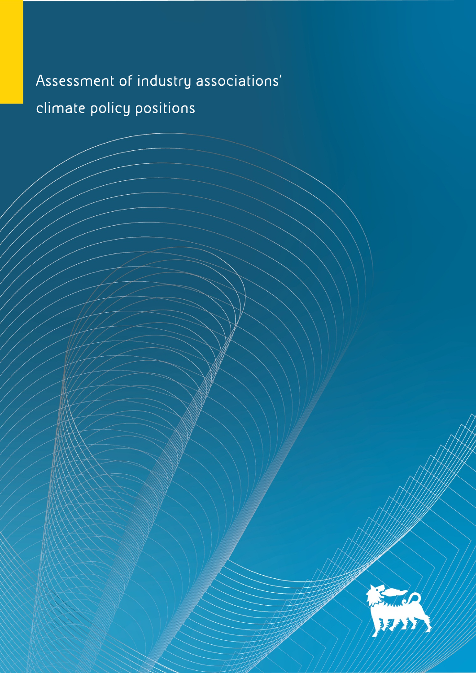## Assessment of industry associations' climate policy positions

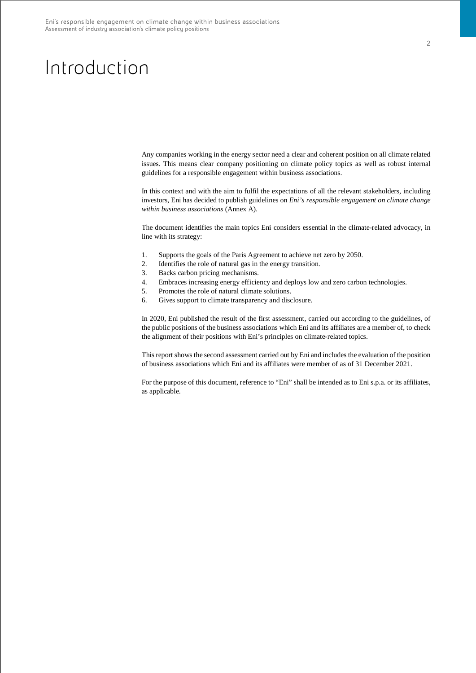## Introduction

Any companies working in the energy sector need a clear and coherent position on all climate related issues. This means clear company positioning on climate policy topics as well as robust internal guidelines for a responsible engagement within business associations.

In this context and with the aim to fulfil the expectations of all the relevant stakeholders, including investors, Eni has decided to publish guidelines on *Eni's responsible engagement on climate change within business associations* (Annex A).

The document identifies the main topics Eni considers essential in the climate-related advocacy, in line with its strategy:

- 1. Supports the goals of the Paris Agreement to achieve net zero by 2050.
- 2. Identifies the role of natural gas in the energy transition.
- 3. Backs carbon pricing mechanisms.
- 4. Embraces increasing energy efficiency and deploys low and zero carbon technologies.
- 5. Promotes the role of natural climate solutions.
- 6. Gives support to climate transparency and disclosure.

In 2020, Eni published the result of the first assessment, carried out according to the guidelines, of the public positions of the business associations which Eni and its affiliates are a member of, to check the alignment of their positions with Eni's principles on climate-related topics.

This report shows the second assessment carried out by Eni and includes the evaluation of the position of business associations which Eni and its affiliates were member of as of 31 December 2021.

For the purpose of this document, reference to "Eni" shall be intended as to Eni s.p.a. or its affiliates, as applicable.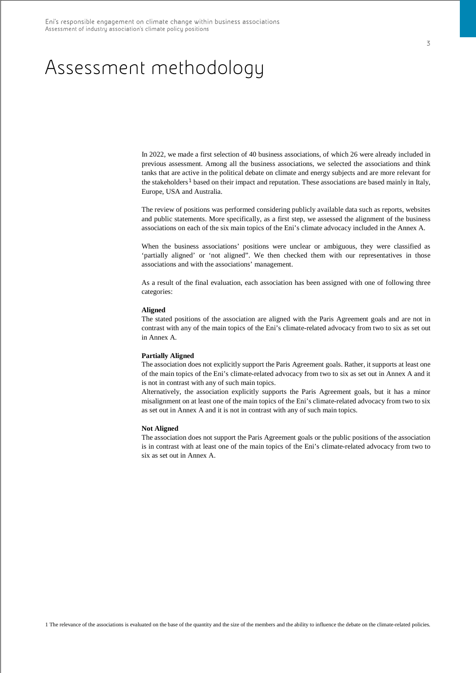## Assessment methodology

In 2022, we made a first selection of 40 business associations, of which 26 were already included in previous assessment. Among all the business associations, we selected the associations and think tanks that are active in the political debate on climate and energy subjects and are more relevant for the stakeholders<sup>[1](#page-2-0)</sup> based on their impact and reputation. These associations are based mainly in Italy, Europe, USA and Australia.

The review of positions was performed considering publicly available data such as reports, websites and public statements. More specifically, as a first step, we assessed the alignment of the business associations on each of the six main topics of the Eni's climate advocacy included in the Annex A.

When the business associations' positions were unclear or ambiguous, they were classified as 'partially aligned' or 'not aligned". We then checked them with our representatives in those associations and with the associations' management.

As a result of the final evaluation, each association has been assigned with one of following three categories:

#### **Aligned**

The stated positions of the association are aligned with the Paris Agreement goals and are not in contrast with any of the main topics of the Eni's climate-related advocacy from two to six as set out in Annex A.

#### **Partially Aligned**

The association does not explicitly support the Paris Agreement goals. Rather, it supports at least one of the main topics of the Eni's climate-related advocacy from two to six as set out in Annex A and it is not in contrast with any of such main topics.

Alternatively, the association explicitly supports the Paris Agreement goals, but it has a minor misalignment on at least one of the main topics of the Eni's climate-related advocacy from two to six as set out in Annex A and it is not in contrast with any of such main topics.

#### **Not Aligned**

<span id="page-2-0"></span>The association does not support the Paris Agreement goals or the public positions of the association is in contrast with at least one of the main topics of the Eni's climate-related advocacy from two to six as set out in Annex A.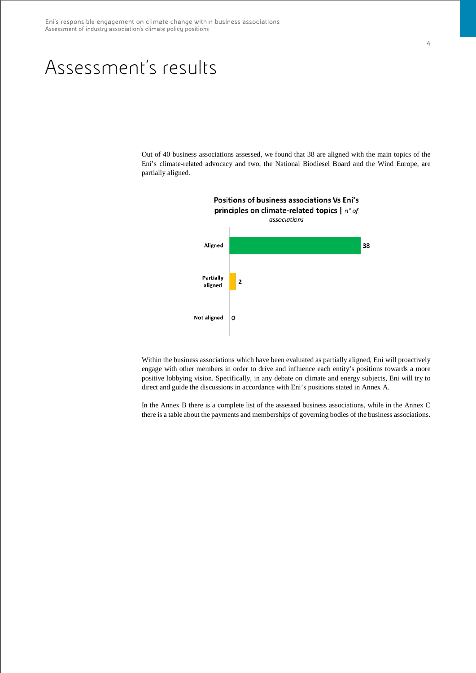## Assessment's results

Out of 40 business associations assessed, we found that 38 are aligned with the main topics of the Eni's climate-related advocacy and two, the National Biodiesel Board and the Wind Europe, are partially aligned.



Within the business associations which have been evaluated as partially aligned, Eni will proactively engage with other members in order to drive and influence each entity's positions towards a more positive lobbying vision. Specifically, in any debate on climate and energy subjects, Eni will try to direct and guide the discussions in accordance with Eni's positions stated in Annex A.

In the Annex B there is a complete list of the assessed business associations, while in the Annex C there is a table about the payments and memberships of governing bodies of the business associations.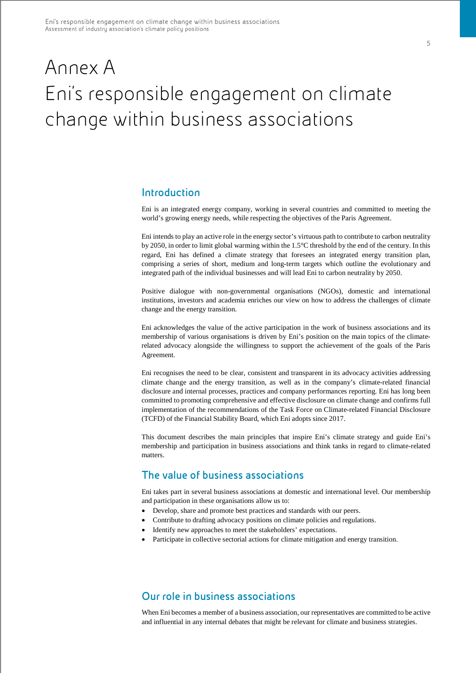# Annex A Eni's responsible engagement on climate change within business associations

## **Introduction**

Eni is an integrated energy company, working in several countries and committed to meeting the world's growing energy needs, while respecting the objectives of the Paris Agreement.

Eni intends to play an active role in the energy sector's virtuous path to contribute to carbon neutrality by 2050, in order to limit global warming within the 1.5°C threshold by the end of the century. In this regard, Eni has defined a climate strategy that foresees an integrated energy transition plan, comprising a series of short, medium and long-term targets which outline the evolutionary and integrated path of the individual businesses and will lead Eni to carbon neutrality by 2050.

Positive dialogue with non-governmental organisations (NGOs), domestic and international institutions, investors and academia enriches our view on how to address the challenges of climate change and the energy transition.

Eni acknowledges the value of the active participation in the work of business associations and its membership of various organisations is driven by Eni's position on the main topics of the climaterelated advocacy alongside the willingness to support the achievement of the goals of the Paris Agreement.

Eni recognises the need to be clear, consistent and transparent in its advocacy activities addressing climate change and the energy transition, as well as in the company's climate-related financial disclosure and internal processes, practices and company performances reporting. Eni has long been committed to promoting comprehensive and effective disclosure on climate change and confirms full implementation of the recommendations of the Task Force on Climate-related Financial Disclosure (TCFD) of the Financial Stability Board, which Eni adopts since 2017.

This document describes the main principles that inspire Eni's climate strategy and guide Eni's membership and participation in business associations and think tanks in regard to climate-related matters.

## **The value of business associations**

Eni takes part in several business associations at domestic and international level. Our membership and participation in these organisations allow us to:

- Develop, share and promote best practices and standards with our peers.
- Contribute to drafting advocacy positions on climate policies and regulations.
- Identify new approaches to meet the stakeholders' expectations.
- Participate in collective sectorial actions for climate mitigation and energy transition.

## **Our role in business associations**

When Eni becomes a member of a business association, our representatives are committed to be active and influential in any internal debates that might be relevant for climate and business strategies.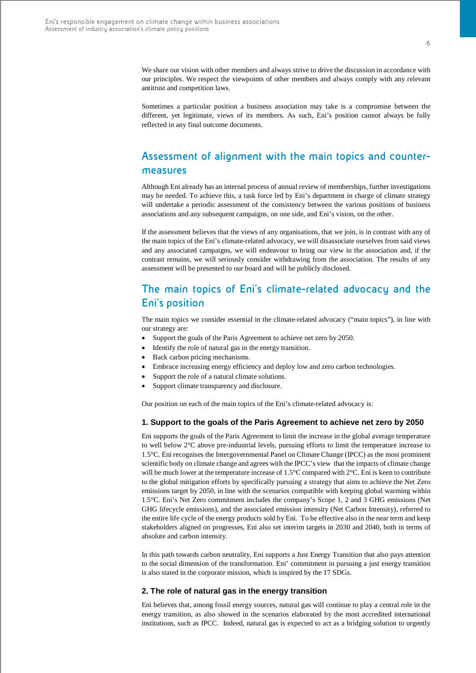We share our vision with other members and always strive to drive the discussion in accordance with our principles. We respect the viewpoints of other members and always comply with any relevant antitrust and competition laws.

Sometimes a particular position a business association may take is a compromise between the different, yet legitimate, views of its members. As such, Eni's position cannot always be fully reflected in any final outcome documents.

## **Assessment of alignment with the main topics and countermeasures**

Although Eni already has an internal process of annual review of memberships, further investigations may be needed. To achieve this, a task force led by Eni's department in charge of climate strategy will undertake a periodic assessment of the consistency between the various positions of business associations and any subsequent campaigns, on one side, and Eni's vision, on the other.

If the assessment believes that the views of any organisations, that we join, is in contrast with any of the main topics of the Eni's climate-related advocacy, we will disassociate ourselves from said views and any associated campaigns, we will endeavour to bring our view in the association and, if the contrast remains, we will seriously consider withdrawing from the association. The results of any assessment will be presented to our board and will be publicly disclosed.

## **The main topics of Eni's climate-related advocacy and the Eni's position**

The main topics we consider essential in the climate-related advocacy ("main topics"), in line with our strategy are:

- Support the goals of the Paris Agreement to achieve net zero by 2050.
- Identify the role of natural gas in the energy transition.
- Back carbon pricing mechanisms.
- Embrace increasing energy efficiency and deploy low and zero carbon technologies.
- Support the role of a natural climate solutions.
- Support climate transparency and disclosure.

Our position on each of the main topics of the Eni's climate-related advocacy is:

#### **1. Support to the goals of the Paris Agreement to achieve net zero by 2050**

Eni supports the goals of the Paris Agreement to limit the increase in the global average temperature to well below 2°C above pre-industrial levels, pursuing efforts to limit the temperature increase to 1.5°C. Eni recognises the Intergovernmental Panel on Climate Change (IPCC) as the most prominent scientific body on climate change and agrees with the IPCC's view that the impacts of climate change will be much lower at the temperature increase of 1.5°C compared with 2°C. Eni is keen to contribute to the global mitigation efforts by specifically pursuing a strategy that aims to achieve the Net Zero emissions target by 2050, in line with the scenarios compatible with keeping global warming within 1.5°C. Eni's Net Zero commitment includes the company's Scope 1, 2 and 3 GHG emissions (Net GHG lifecycle emissions), and the associated emission intensity (Net Carbon Intensity), referred to the entire life cycle of the energy products sold by Eni. To be effective also in the near term and keep stakeholders aligned on progresses, Eni also set interim targets in 2030 and 2040, both in terms of absolute and carbon intensity.

In this path towards carbon neutrality, Eni supports a Just Energy Transition that also pays attention to the social dimension of the transformation. Eni' commitment in pursuing a just energy transition is also stated in the corporate mission, which is inspired by the 17 SDGs.

### **2. The role of natural gas in the energy transition**

Eni believes that, among fossil energy sources, natural gas will continue to play a central role in the energy transition, as also showed in the scenarios elaborated by the most accredited international institutions, such as IPCC. Indeed, natural gas is expected to act as a bridging solution to urgently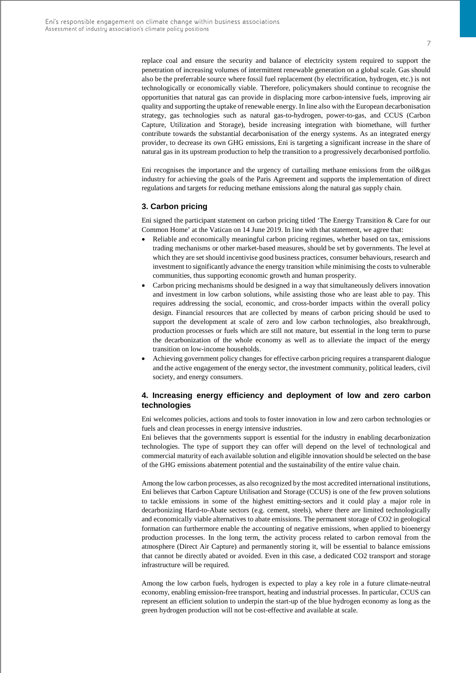replace coal and ensure the security and balance of electricity system required to support the penetration of increasing volumes of intermittent renewable generation on a global scale. Gas should also be the preferrable source where fossil fuel replacement (by electrification, hydrogen, etc.) is not technologically or economically viable. Therefore, policymakers should continue to recognise the opportunities that natural gas can provide in displacing more carbon-intensive fuels, improving air quality and supporting the uptake of renewable energy. In line also with the European decarbonisation strategy, gas technologies such as natural gas-to-hydrogen, power-to-gas, and CCUS (Carbon Capture, Utilization and Storage), beside increasing integration with biomethane, will further contribute towards the substantial decarbonisation of the energy systems. As an integrated energy provider, to decrease its own GHG emissions, Eni is targeting a significant increase in the share of natural gas in its upstream production to help the transition to a progressively decarbonised portfolio.

Eni recognises the importance and the urgency of curtailing methane emissions from the oil&gas industry for achieving the goals of the Paris Agreement and supports the implementation of direct regulations and targets for reducing methane emissions along the natural gas supply chain.

### **3. Carbon pricing**

Eni signed the participant statement on carbon pricing titled 'The Energy Transition & Care for our Common Home' at the Vatican on 14 June 2019. In line with that statement, we agree that:

- Reliable and economically meaningful carbon pricing regimes, whether based on tax, emissions trading mechanisms or other market-based measures, should be set by governments. The level at which they are set should incentivise good business practices, consumer behaviours, research and investment to significantly advance the energy transition while minimising the costs to vulnerable communities, thus supporting economic growth and human prosperity.
- Carbon pricing mechanisms should be designed in a way that simultaneously delivers innovation and investment in low carbon solutions, while assisting those who are least able to pay. This requires addressing the social, economic, and cross-border impacts within the overall policy design. Financial resources that are collected by means of carbon pricing should be used to support the development at scale of zero and low carbon technologies, also breakthrough, production processes or fuels which are still not mature, but essential in the long term to purse the decarbonization of the whole economy as well as to alleviate the impact of the energy transition on low-income households.
- Achieving government policy changes for effective carbon pricing requires a transparent dialogue and the active engagement of the energy sector, the investment community, political leaders, civil society, and energy consumers.

### **4. Increasing energy efficiency and deployment of low and zero carbon technologies**

Eni welcomes policies, actions and tools to foster innovation in low and zero carbon technologies or fuels and clean processes in energy intensive industries.

Eni believes that the governments support is essential for the industry in enabling decarbonization technologies. The type of support they can offer will depend on the level of technological and commercial maturity of each available solution and eligible innovation should be selected on the base of the GHG emissions abatement potential and the sustainability of the entire value chain.

Among the low carbon processes, as also recognized by the most accredited international institutions, Eni believes that Carbon Capture Utilisation and Storage (CCUS) is one of the few proven solutions to tackle emissions in some of the highest emitting-sectors and it could play a major role in decarbonizing Hard-to-Abate sectors (e.g. cement, steels), where there are limited technologically and economically viable alternatives to abate emissions. The permanent storage of CO2 in geological formation can furthermore enable the accounting of negative emissions, when applied to bioenergy production processes. In the long term, the activity process related to carbon removal from the atmosphere (Direct Air Capture) and permanently storing it, will be essential to balance emissions that cannot be directly abated or avoided. Even in this case, a dedicated CO2 transport and storage infrastructure will be required.

Among the low carbon fuels, hydrogen is expected to play a key role in a future climate-neutral economy, enabling emission-free transport, heating and industrial processes. In particular, CCUS can represent an efficient solution to underpin the start-up of the blue hydrogen economy as long as the green hydrogen production will not be cost-effective and available at scale.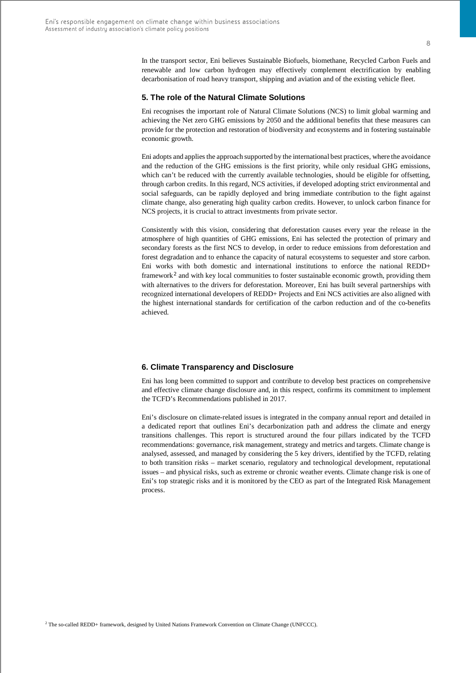#### **5. The role of the Natural Climate Solutions**

Eni recognises the important role of Natural Climate Solutions (NCS) to limit global warming and achieving the Net zero GHG emissions by 2050 and the additional benefits that these measures can provide for the protection and restoration of biodiversity and ecosystems and in fostering sustainable economic growth.

Eni adopts and applies the approach supported by the international best practices, where the avoidance and the reduction of the GHG emissions is the first priority, while only residual GHG emissions, which can't be reduced with the currently available technologies, should be eligible for offsetting, through carbon credits. In this regard, NCS activities, if developed adopting strict environmental and social safeguards, can be rapidly deployed and bring immediate contribution to the fight against climate change, also generating high quality carbon credits. However, to unlock carbon finance for NCS projects, it is crucial to attract investments from private sector.

Consistently with this vision, considering that deforestation causes every year the release in the atmosphere of high quantities of GHG emissions, Eni has selected the protection of primary and secondary forests as the first NCS to develop, in order to reduce emissions from deforestation and forest degradation and to enhance the capacity of natural ecosystems to sequester and store carbon. Eni works with both domestic and international institutions to enforce the national REDD+ framework<sup>[2](#page-7-0)</sup> and with key local communities to foster sustainable economic growth, providing them with alternatives to the drivers for deforestation. Moreover, Eni has built several partnerships with recognized international developers of REDD+ Projects and Eni NCS activities are also aligned with the highest international standards for certification of the carbon reduction and of the co-benefits achieved.

### **6. Climate Transparency and Disclosure**

Eni has long been committed to support and contribute to develop best practices on comprehensive and effective climate change disclosure and, in this respect, confirms its commitment to implement the TCFD's Recommendations published in 2017.

<span id="page-7-0"></span>Eni's disclosure on climate-related issues is integrated in the company annual report and detailed in a dedicated report that outlines Eni's decarbonization path and address the climate and energy transitions challenges. This report is structured around the four pillars indicated by the TCFD recommendations: governance, risk management, strategy and metrics and targets. Climate change is analysed, assessed, and managed by considering the 5 key drivers, identified by the TCFD, relating to both transition risks – market scenario, regulatory and technological development, reputational issues – and physical risks, such as extreme or chronic weather events. Climate change risk is one of Eni's top strategic risks and it is monitored by the CEO as part of the Integrated Risk Management process.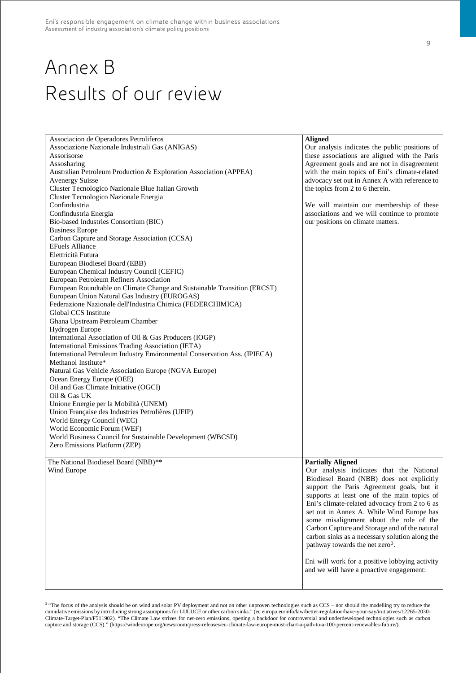# Annex B Results of our review

| Associacion de Operadores Petroliferos<br>Associazione Nazionale Industriali Gas (ANIGAS)<br>Assorisorse<br>Assosharing<br>Australian Petroleum Production & Exploration Association (APPEA)<br><b>Avenergy Suisse</b><br>Cluster Tecnologico Nazionale Blue Italian Growth<br>Cluster Tecnologico Nazionale Energia<br>Confindustria<br>Confindustria Energia<br>Bio-based Industries Consortium (BIC)<br><b>Business Europe</b><br>Carbon Capture and Storage Association (CCSA)<br><b>EFuels Alliance</b><br>Elettricità Futura<br>European Biodiesel Board (EBB)<br>European Chemical Industry Council (CEFIC)<br>European Petroleum Refiners Association<br>European Roundtable on Climate Change and Sustainable Transition (ERCST)<br>European Union Natural Gas Industry (EUROGAS)<br>Federazione Nazionale dell'Industria Chimica (FEDERCHIMICA)<br>Global CCS Institute<br>Ghana Upstream Petroleum Chamber<br>Hydrogen Europe<br>International Association of Oil & Gas Producers (IOGP)<br>International Emissions Trading Association (IETA)<br>International Petroleum Industry Environmental Conservation Ass. (IPIECA)<br>Methanol Institute*<br>Natural Gas Vehicle Association Europe (NGVA Europe)<br>Ocean Energy Europe (OEE)<br>Oil and Gas Climate Initiative (OGCI)<br>Oil & Gas UK<br>Unione Energie per la Mobilità (UNEM)<br>Union Française des Industries Petrolières (UFIP)<br>World Energy Council (WEC)<br>World Economic Forum (WEF) | <b>Aligned</b><br>Our analysis indicates the public positions of<br>these associations are aligned with the Paris<br>Agreement goals and are not in disagreement<br>with the main topics of Eni's climate-related<br>advocacy set out in Annex A with reference to<br>the topics from 2 to 6 therein.<br>We will maintain our membership of these<br>associations and we will continue to promote<br>our positions on climate matters.                                                                                                                                                                 |
|-----------------------------------------------------------------------------------------------------------------------------------------------------------------------------------------------------------------------------------------------------------------------------------------------------------------------------------------------------------------------------------------------------------------------------------------------------------------------------------------------------------------------------------------------------------------------------------------------------------------------------------------------------------------------------------------------------------------------------------------------------------------------------------------------------------------------------------------------------------------------------------------------------------------------------------------------------------------------------------------------------------------------------------------------------------------------------------------------------------------------------------------------------------------------------------------------------------------------------------------------------------------------------------------------------------------------------------------------------------------------------------------------------------------------------------------------------------------------|--------------------------------------------------------------------------------------------------------------------------------------------------------------------------------------------------------------------------------------------------------------------------------------------------------------------------------------------------------------------------------------------------------------------------------------------------------------------------------------------------------------------------------------------------------------------------------------------------------|
|                                                                                                                                                                                                                                                                                                                                                                                                                                                                                                                                                                                                                                                                                                                                                                                                                                                                                                                                                                                                                                                                                                                                                                                                                                                                                                                                                                                                                                                                       |                                                                                                                                                                                                                                                                                                                                                                                                                                                                                                                                                                                                        |
| World Business Council for Sustainable Development (WBCSD)                                                                                                                                                                                                                                                                                                                                                                                                                                                                                                                                                                                                                                                                                                                                                                                                                                                                                                                                                                                                                                                                                                                                                                                                                                                                                                                                                                                                            |                                                                                                                                                                                                                                                                                                                                                                                                                                                                                                                                                                                                        |
| Zero Emissions Platform (ZEP)                                                                                                                                                                                                                                                                                                                                                                                                                                                                                                                                                                                                                                                                                                                                                                                                                                                                                                                                                                                                                                                                                                                                                                                                                                                                                                                                                                                                                                         |                                                                                                                                                                                                                                                                                                                                                                                                                                                                                                                                                                                                        |
| The National Biodiesel Board (NBB)**<br>Wind Europe                                                                                                                                                                                                                                                                                                                                                                                                                                                                                                                                                                                                                                                                                                                                                                                                                                                                                                                                                                                                                                                                                                                                                                                                                                                                                                                                                                                                                   | <b>Partially Aligned</b><br>Our analysis indicates that the National<br>Biodiesel Board (NBB) does not explicitly<br>support the Paris Agreement goals, but it<br>supports at least one of the main topics of<br>Eni's climate-related advocacy from 2 to 6 as<br>set out in Annex A. While Wind Europe has<br>some misalignment about the role of the<br>Carbon Capture and Storage and of the natural<br>carbon sinks as a necessary solution along the<br>pathway towards the net zero <sup>3</sup> .<br>Eni will work for a positive lobbying activity<br>and we will have a proactive engagement: |

<span id="page-8-0"></span><sup>3</sup> "The focus of the analysis should be on wind and solar PV deployment and not on other unproven technologies such as CCS – nor should the modelling try to reduce the cumulative emissions by introducing strong assumptions for LULUCF or other carbon sinks." (ec.europa.eu/info/law/better-regulation/have-your-say/initiatives/12265-2030- Climate-Target-Plan/F511902). "The Climate Law strives for net-zero emissions, opening a backdoor for controversial and underdeveloped technologies such as carbon capture and storage (CCS)." (https://windeurope.org/newsroom/press-releases/eu-climate-law-europe-must-chart-a-path-to-a-100-percent-renewables-future/).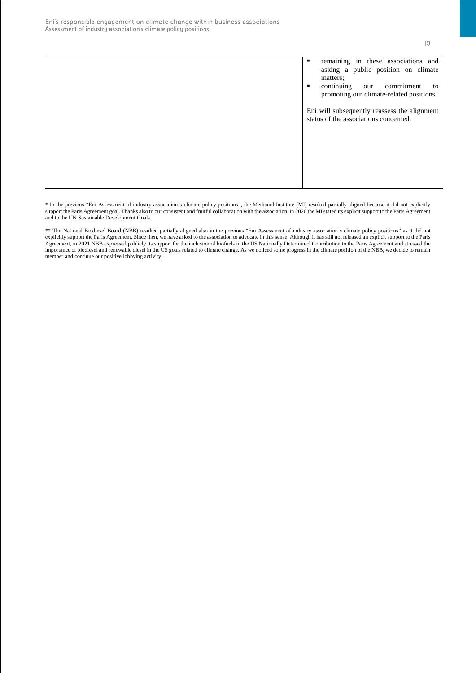10

| remaining in these associations and<br>٠<br>asking a public position on climate<br>matters;<br>continuing<br>our commitment<br>to<br>$\blacksquare$<br>promoting our climate-related positions. |
|-------------------------------------------------------------------------------------------------------------------------------------------------------------------------------------------------|
| Eni will subsequently reassess the alignment<br>status of the associations concerned.                                                                                                           |

\* In the previous "Eni Assessment of industry association's climate policy positions", the Methanol Institute (MI) resulted partially aligned because it did not explicitly support the Paris Agreement goal. Thanks also to our consistent and fruitful collaboration with the association, in 2020 the MI stated its explicit support to the Paris Agreement and to the UN Sustainable Development Goals.

\*\* The National Biodiesel Board (NBB) resulted partially aligned also in the previous "Eni Assessment of industry association's climate policy positions" as it did not explicitly support the Paris Agreement. Since then, we have asked to the association to advocate in this sense. Although it has still not released an explicit support to the Paris Agreement, in 2021 NBB expressed publicly its support for the inclusion of biofuels in the US Nationally Determined Contribution to the Paris Agreement and stressed the importance of biodiesel and renewable diesel in the US goals related to climate change. As we noticed some progress in the climate position of the NBB, we decide to remain member and continue our positive lobbying activity.